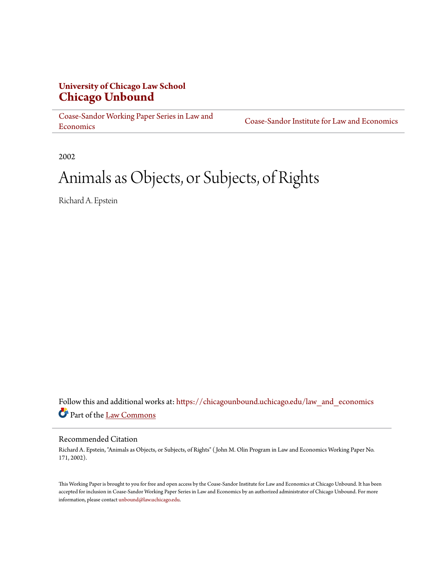## **University of Chicago Law School [Chicago Unbound](https://chicagounbound.uchicago.edu?utm_source=chicagounbound.uchicago.edu%2Flaw_and_economics%2F53&utm_medium=PDF&utm_campaign=PDFCoverPages)**

[Coase-Sandor Working Paper Series in Law and](https://chicagounbound.uchicago.edu/law_and_economics?utm_source=chicagounbound.uchicago.edu%2Flaw_and_economics%2F53&utm_medium=PDF&utm_campaign=PDFCoverPages) [Economics](https://chicagounbound.uchicago.edu/law_and_economics?utm_source=chicagounbound.uchicago.edu%2Flaw_and_economics%2F53&utm_medium=PDF&utm_campaign=PDFCoverPages)

[Coase-Sandor Institute for Law and Economics](https://chicagounbound.uchicago.edu/coase_sandor_institute?utm_source=chicagounbound.uchicago.edu%2Flaw_and_economics%2F53&utm_medium=PDF&utm_campaign=PDFCoverPages)

2002

## Animals as Objects, or Subjects, of Rights

Richard A. Epstein

Follow this and additional works at: [https://chicagounbound.uchicago.edu/law\\_and\\_economics](https://chicagounbound.uchicago.edu/law_and_economics?utm_source=chicagounbound.uchicago.edu%2Flaw_and_economics%2F53&utm_medium=PDF&utm_campaign=PDFCoverPages) Part of the [Law Commons](http://network.bepress.com/hgg/discipline/578?utm_source=chicagounbound.uchicago.edu%2Flaw_and_economics%2F53&utm_medium=PDF&utm_campaign=PDFCoverPages)

#### Recommended Citation

Richard A. Epstein, "Animals as Objects, or Subjects, of Rights" ( John M. Olin Program in Law and Economics Working Paper No. 171, 2002).

This Working Paper is brought to you for free and open access by the Coase-Sandor Institute for Law and Economics at Chicago Unbound. It has been accepted for inclusion in Coase-Sandor Working Paper Series in Law and Economics by an authorized administrator of Chicago Unbound. For more information, please contact [unbound@law.uchicago.edu.](mailto:unbound@law.uchicago.edu)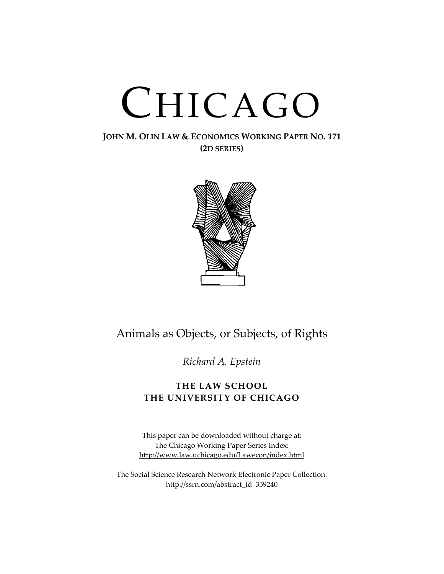# CHICAGO

#### **JOHN M. OLIN LAW & ECONOMICS WORKING PAPER NO. 171 (2D SERIES)**



## Animals as Objects, or Subjects, of Rights

## *Richard A. Epstein*

## **THE LAW SCHOOL THE UNIVERSITY OF CHICAGO**

This paper can be downloaded without charge at: The Chicago Working Paper Series Index: [http://www.law.uchicago.edu/Lawecon/index.html](http://www.law.uchicago.edu/Publications/Working/index.html)

The Social Science Research Network Electronic Paper Collection: [http://ssrn.com/abstract\\_id=3](http://papers.ssrn.com/sol3/search.taf)59240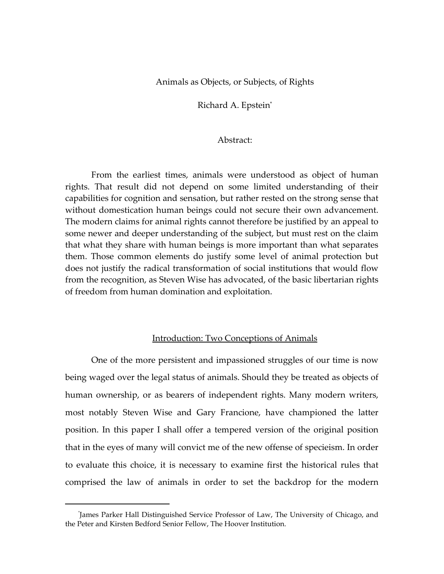#### Animals as Objects, or Subjects, of Rights

Richard A. Epstei[n\\*](#page-2-0)

#### Abstract:

From the earliest times, animals were understood as object of human rights. That result did not depend on some limited understanding of their capabilities for cognition and sensation, but rather rested on the strong sense that without domestication human beings could not secure their own advancement. The modern claims for animal rights cannot therefore be justified by an appeal to some newer and deeper understanding of the subject, but must rest on the claim that what they share with human beings is more important than what separates them. Those common elements do justify some level of animal protection but does not justify the radical transformation of social institutions that would flow from the recognition, as Steven Wise has advocated, of the basic libertarian rights of freedom from human domination and exploitation.

#### Introduction: Two Conceptions of Animals

One of the more persistent and impassioned struggles of our time is now being waged over the legal status of animals. Should they be treated as objects of human ownership, or as bearers of independent rights. Many modern writers, most notably Steven Wise and Gary Francione, have championed the latter position. In this paper I shall offer a tempered version of the original position that in the eyes of many will convict me of the new offense of specieism. In order to evaluate this choice, it is necessary to examine first the historical rules that comprised the law of animals in order to set the backdrop for the modern

<span id="page-2-0"></span> <sup>\*</sup> James Parker Hall Distinguished Service Professor of Law, The University of Chicago, and the Peter and Kirsten Bedford Senior Fellow, The Hoover Institution.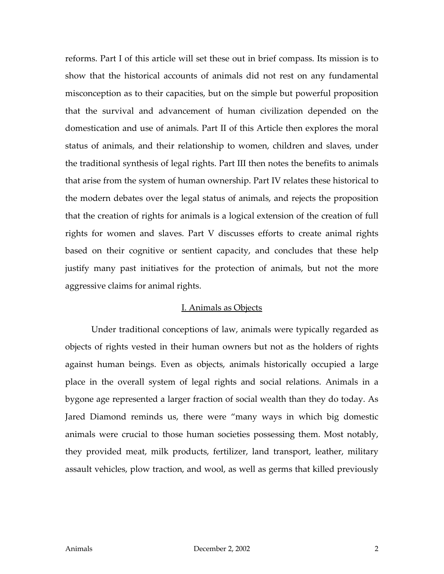reforms. Part I of this article will set these out in brief compass. Its mission is to show that the historical accounts of animals did not rest on any fundamental misconception as to their capacities, but on the simple but powerful proposition that the survival and advancement of human civilization depended on the domestication and use of animals. Part II of this Article then explores the moral status of animals, and their relationship to women, children and slaves, under the traditional synthesis of legal rights. Part III then notes the benefits to animals that arise from the system of human ownership. Part IV relates these historical to the modern debates over the legal status of animals, and rejects the proposition that the creation of rights for animals is a logical extension of the creation of full rights for women and slaves. Part V discusses efforts to create animal rights based on their cognitive or sentient capacity, and concludes that these help justify many past initiatives for the protection of animals, but not the more aggressive claims for animal rights.

#### I. Animals as Objects

Under traditional conceptions of law, animals were typically regarded as objects of rights vested in their human owners but not as the holders of rights against human beings. Even as objects, animals historically occupied a large place in the overall system of legal rights and social relations. Animals in a bygone age represented a larger fraction of social wealth than they do today. As Jared Diamond reminds us, there were "many ways in which big domestic animals were crucial to those human societies possessing them. Most notably, they provided meat, milk products, fertilizer, land transport, leather, military assault vehicles, plow traction, and wool, as well as germs that killed previously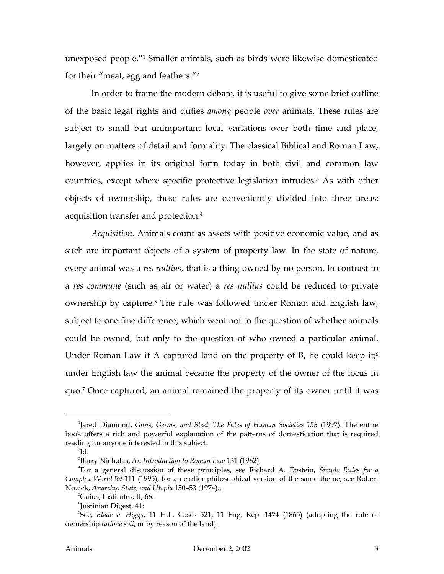unexposed people.["1](#page-4-0) Smaller animals, such as birds were likewise domesticated for their "meat, egg and feathers.["2](#page-4-1)

In order to frame the modern debate, it is useful to give some brief outline of the basic legal rights and duties *among* people *over* animals. These rules are subject to small but unimportant local variations over both time and place, largely on matters of detail and formality. The classical Biblical and Roman Law, however, applies in its original form today in both civil and common law countries, except where specific protective legislation intrudes.[3](#page-4-2) As with other objects of ownership, these rules are conveniently divided into three areas: acquisition transfer and protection[.4](#page-4-3)

*Acquisition.* Animals count as assets with positive economic value, and as such are important objects of a system of property law. In the state of nature, every animal was a *res nullius*, that is a thing owned by no person. In contrast to a *res commune* (such as air or water) a *res nullius* could be reduced to private ownership by capture.<sup>5</sup> The rule was followed under Roman and English law, subject to one fine difference, which went not to the question of whether animals could be owned, but only to the question of who owned a particular animal. Under Roman Law if A captured land on the property of B, he could keep it;<sup>6</sup> under English law the animal became the property of the owner of the locus in quo[.7](#page-4-6) Once captured, an animal remained the property of its owner until it was

<span id="page-4-0"></span> $\begin{array}{c}\n\hline\n\end{array}$ Jared Diamond, *Guns, Germs, and Steel: The Fates of Human Societies 158* (1997). The entire book offers a rich and powerful explanation of the patterns of domestication that is required reading for anyone interested in this subject.

<span id="page-4-1"></span> $\mathrm{^2Id}$ .

<span id="page-4-3"></span><span id="page-4-2"></span><sup>3</sup> Barry Nicholas, *An Introduction to Roman Law* 131 (1962). 4

For a general discussion of these principles, see Richard A. Epstein, *Simple Rules for a Complex World* 59-111 (1995); for an earlier philosophical version of the same theme, see Robert Nozick, *Anarchy*, *State, and Utopia* 150-53 (1974)..

<span id="page-4-4"></span><sup>&</sup>lt;sup>5</sup>Gaius, Institutes, II, 66.

<span id="page-4-6"></span><span id="page-4-5"></span>fustinian Digest, 41:<br><sup>7</sup>See Blade ay Higgs

See, *Blade v. Higgs*, 11 H.L. Cases 521, 11 Eng. Rep. 1474 (1865) (adopting the rule of ownership *ratione soli*, or by reason of the land) .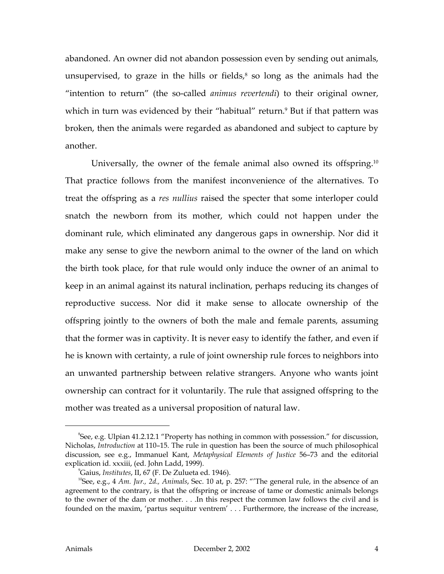<span id="page-5-2"></span>abandoned. An owner did not abandon possession even by sending out animals, unsupervised, to graze in the hills or fields, $\delta$  so long as the animals had the "intention to return" (the so-called *animus revertendi*) to their original owner, which in turn was evidenced by their "habitual" return.<sup>9</sup> But if that pattern was broken, then the animals were regarded as abandoned and subject to capture by another.

Universally, the owner of the female animal also owned its offspring.<sup>[10](#page-5-2)</sup> That practice follows from the manifest inconvenience of the alternatives. To treat the offspring as a *res nullius* raised the specter that some interloper could snatch the newborn from its mother, which could not happen under the dominant rule, which eliminated any dangerous gaps in ownership. Nor did it make any sense to give the newborn animal to the owner of the land on which the birth took place, for that rule would only induce the owner of an animal to keep in an animal against its natural inclination, perhaps reducing its changes of reproductive success. Nor did it make sense to allocate ownership of the offspring jointly to the owners of both the male and female parents, assuming that the former was in captivity. It is never easy to identify the father, and even if he is known with certainty, a rule of joint ownership rule forces to neighbors into an unwanted partnership between relative strangers. Anyone who wants joint ownership can contract for it voluntarily. The rule that assigned offspring to the mother was treated as a universal proposition of natural law.

<span id="page-5-0"></span> <sup>8</sup> See, e.g. Ulpian 41.2.12.1 "Property has nothing in common with possession." for discussion, Nicholas, *Introduction* at 110–15. The rule in question has been the source of much philosophical discussion, see e.g., Immanuel Kant, *Metaphysical Elements of Justice* 56–73 and the editorial explication id. xxxiii, (ed. John Ladd, 1999).<br>
<sup>9</sup>Gaius, *Institutes*, II, 67 (F. De Zulueta ed. 1946).

<span id="page-5-1"></span>

<sup>&</sup>lt;sup>10</sup>See, e.g., 4 *Am. Jur., 2d., Animals*, Sec. 10 at, p. 257: "The general rule, in the absence of an agreement to the contrary, is that the offspring or increase of tame or domestic animals belongs to the owner of the dam or mother. . . .In this respect the common law follows the civil and is founded on the maxim, 'partus sequitur ventrem' . . . Furthermore, the increase of the increase,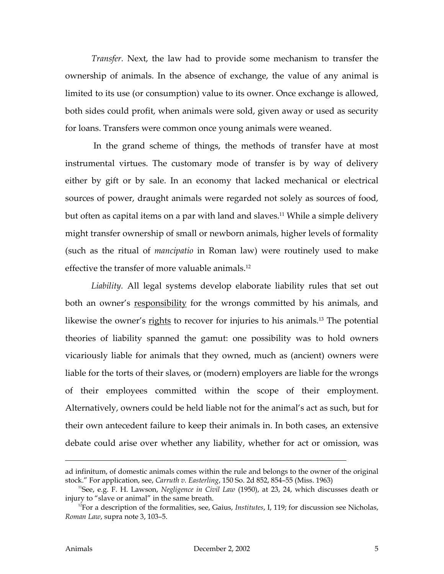*Transfer.* Next, the law had to provide some mechanism to transfer the ownership of animals. In the absence of exchange, the value of any animal is limited to its use (or consumption) value to its owner. Once exchange is allowed, both sides could profit, when animals were sold, given away or used as security for loans. Transfers were common once young animals were weaned.

In the grand scheme of things, the methods of transfer have at most instrumental virtues. The customary mode of transfer is by way of delivery either by gift or by sale. In an economy that lacked mechanical or electrical sources of power, draught animals were regarded not solely as sources of food, but often as capital items on a par with land and slaves.<sup>11</sup> While a simple delivery might transfer ownership of small or newborn animals, higher levels of formality (such as the ritual of *mancipatio* in Roman law) were routinely used to make effective the transfer of more valuable animals.[12](#page-6-1)

*Liability.* All legal systems develop elaborate liability rules that set out both an owner's responsibility for the wrongs committed by his animals, and likewise the owner's rights to recover for injuries to his animals.[13](#page-6-2) The potential theories of liability spanned the gamut: one possibility was to hold owners vicariously liable for animals that they owned, much as (ancient) owners were liable for the torts of their slaves, or (modern) employers are liable for the wrongs of their employees committed within the scope of their employment. Alternatively, owners could be held liable not for the animal's act as such, but for their own antecedent failure to keep their animals in. In both cases, an extensive debate could arise over whether any liability, whether for act or omission, was

<span id="page-6-2"></span> $\overline{a}$ 

ad infinitum, of domestic animals comes within the rule and belongs to the owner of the original stock." For application, see, *Carruth v. Easterling*, 150 So. 2d 852, 854–55 (Miss. 1963)<br><sup>11</sup>See, e.g. F. H. Lawson, *Negligence in Civil Law* (1950), at 23, 24, which discusses death or

<span id="page-6-0"></span>injury to "slave or animal" in the same breath.<br><sup>12</sup>For a description of the formalities, see, Gaius, *Institutes*, I, 119; for discussion see Nicholas,

<span id="page-6-1"></span>*Roman Law*, supra note 3, 103–5.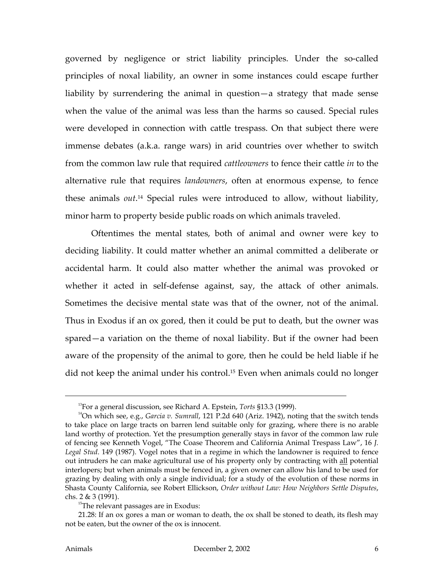<span id="page-7-1"></span>governed by negligence or strict liability principles. Under the so-called principles of noxal liability, an owner in some instances could escape further liability by surrendering the animal in question—a strategy that made sense when the value of the animal was less than the harms so caused. Special rules were developed in connection with cattle trespass. On that subject there were immense debates (a.k.a. range wars) in arid countries over whether to switch from the common law rule that required *cattleowners* to fence their cattle *in* to the alternative rule that requires *landowners*, often at enormous expense, to fence these animals *out*. [14](#page-7-0) Special rules were introduced to allow, without liability, minor harm to property beside public roads on which animals traveled.

Oftentimes the mental states, both of animal and owner were key to deciding liability. It could matter whether an animal committed a deliberate or accidental harm. It could also matter whether the animal was provoked or whether it acted in self-defense against, say, the attack of other animals. Sometimes the decisive mental state was that of the owner, not of the animal. Thus in Exodus if an ox gored, then it could be put to death, but the owner was spared—a variation on the theme of noxal liability. But if the owner had been aware of the propensity of the animal to gore, then he could be held liable if he did not keep the animal under his control[.15](#page-7-1) Even when animals could no longer

<span id="page-7-0"></span>

<sup>&</sup>lt;sup>13</sup>For a general discussion, see Richard A. Epstein, *Torts* §13.3 (1999).<br><sup>14</sup>On which see, e.g., *Garcia v. Sumrall*, 121 P.2d 640 (Ariz. 1942), noting that the switch tends to take place on large tracts on barren lend suitable only for grazing, where there is no arable land worthy of protection. Yet the presumption generally stays in favor of the common law rule of fencing see Kenneth Vogel, "The Coase Theorem and California Animal Trespass Law", 16 *J. Legal Stud*. 149 (1987). Vogel notes that in a regime in which the landowner is required to fence out intruders he can make agricultural use of his property only by contracting with all potential interlopers; but when animals must be fenced in, a given owner can allow his land to be used for grazing by dealing with only a single individual; for a study of the evolution of these norms in Shasta County California, see Robert Ellickson, *Order without Law: How Neighbors Settle Disputes*, chs. 2 & 3 (1991).<br><sup>15</sup>The relevant passages are in Exodus:

<sup>21.28:</sup> If an ox gores a man or woman to death, the ox shall be stoned to death, its flesh may not be eaten, but the owner of the ox is innocent.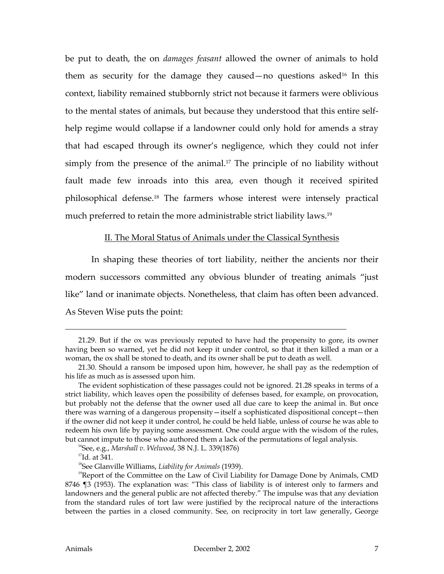<span id="page-8-3"></span>be put to death, the on *damages feasant* allowed the owner of animals to hold them as security for the damage they caused—no questions asked<sup>16</sup> In this context, liability remained stubbornly strict not because it farmers were oblivious to the mental states of animals, but because they understood that this entire selfhelp regime would collapse if a landowner could only hold for amends a stray that had escaped through its owner's negligence, which they could not infer simply from the presence of the animal.<sup>17</sup> The principle of no liability without fault made few inroads into this area, even though it received spirited philosophical defense[.18](#page-8-2) The farmers whose interest were intensely practical much preferred to retain the more administrable strict liability laws.[19](#page-8-3)

#### II. The Moral Status of Animals under the Classical Synthesis

In shaping these theories of tort liability, neither the ancients nor their modern successors committed any obvious blunder of treating animals "just like" land or inanimate objects. Nonetheless, that claim has often been advanced. As Steven Wise puts the point:

 $\overline{a}$ 

<sup>21.29.</sup> But if the ox was previously reputed to have had the propensity to gore, its owner having been so warned, yet he did not keep it under control, so that it then killed a man or a woman, the ox shall be stoned to death, and its owner shall be put to death as well.

<sup>21.30.</sup> Should a ransom be imposed upon him, however, he shall pay as the redemption of his life as much as is assessed upon him.

The evident sophistication of these passages could not be ignored. 21.28 speaks in terms of a strict liability, which leaves open the possibility of defenses based, for example, on provocation, but probably not the defense that the owner used all due care to keep the animal in. But once there was warning of a dangerous propensity—itself a sophisticated dispositional concept—then if the owner did not keep it under control, he could be held liable, unless of course he was able to redeem his own life by paying some assessment. One could argue with the wisdom of the rules, but cannot impute to those who authored them a lack of the permutations of legal analysis.<br><sup>16</sup>See, e.g., *Marshall v. Welwood*, 38 N.J. L. 339(1876)<br><sup>17</sup>Id. at 341.<br><sup>18</sup>See Glanville Williams, *Liability for Animals* (193

<span id="page-8-0"></span>

<span id="page-8-1"></span>

<span id="page-8-2"></span>

<sup>8746 ¶3 (1953).</sup> The explanation was: "This class of liability is of interest only to farmers and landowners and the general public are not affected thereby." The impulse was that any deviation from the standard rules of tort law were justified by the reciprocal nature of the interactions between the parties in a closed community. See, on reciprocity in tort law generally, George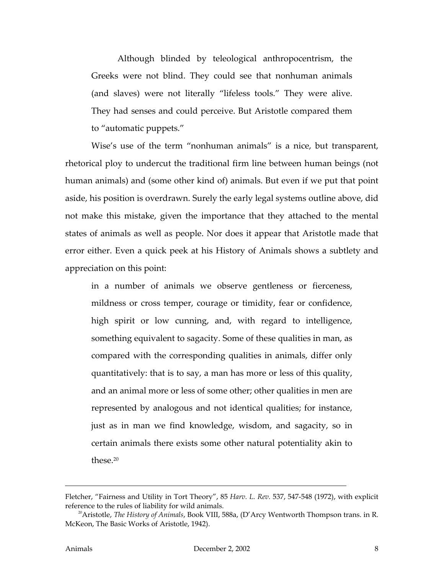Although blinded by teleological anthropocentrism, the Greeks were not blind. They could see that nonhuman animals (and slaves) were not literally "lifeless tools." They were alive. They had senses and could perceive. But Aristotle compared them to "automatic puppets."

Wise's use of the term "nonhuman animals" is a nice, but transparent, rhetorical ploy to undercut the traditional firm line between human beings (not human animals) and (some other kind of) animals. But even if we put that point aside, his position is overdrawn. Surely the early legal systems outline above, did not make this mistake, given the importance that they attached to the mental states of animals as well as people. Nor does it appear that Aristotle made that error either. Even a quick peek at his History of Animals shows a subtlety and appreciation on this point:

in a number of animals we observe gentleness or fierceness, mildness or cross temper, courage or timidity, fear or confidence, high spirit or low cunning, and, with regard to intelligence, something equivalent to sagacity. Some of these qualities in man, as compared with the corresponding qualities in animals, differ only quantitatively: that is to say, a man has more or less of this quality, and an animal more or less of some other; other qualities in men are represented by analogous and not identical qualities; for instance, just as in man we find knowledge, wisdom, and sagacity, so in certain animals there exists some other natural potentiality akin to these  $20$ 

-

Fletcher, "Fairness and Utility in Tort Theory", 85 *Harv. L. Rev.* 537, 547-548 (1972), with explicit reference to the rules of liability for wild animals.<br><sup>20</sup>Aristotle, *The History of Animals*, Book VIII, 588a, (D'Arcy Wentworth Thompson trans. in R.

<span id="page-9-0"></span>McKeon, The Basic Works of Aristotle, 1942).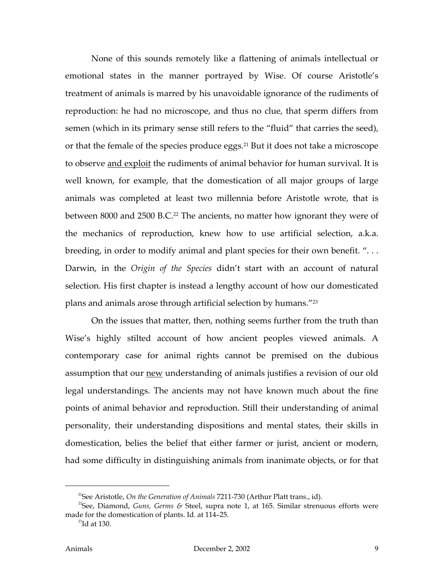None of this sounds remotely like a flattening of animals intellectual or emotional states in the manner portrayed by Wise. Of course Aristotle's treatment of animals is marred by his unavoidable ignorance of the rudiments of reproduction: he had no microscope, and thus no clue, that sperm differs from semen (which in its primary sense still refers to the "fluid" that carries the seed), or that the female of the species produce eggs[.21](#page-10-0) But it does not take a microscope to observe and exploit the rudiments of animal behavior for human survival. It is well known, for example, that the domestication of all major groups of large animals was completed at least two millennia before Aristotle wrote, that is between 8000 and 2500 B.C.<sup>22</sup> The ancients, no matter how ignorant they were of the mechanics of reproduction, knew how to use artificial selection, a.k.a. breeding, in order to modify animal and plant species for their own benefit. ". . . Darwin, in the *Origin of the Species* didn't start with an account of natural selection. His first chapter is instead a lengthy account of how our domesticated plans and animals arose through artificial selection by humans.["23](#page-10-2) 

On the issues that matter, then, nothing seems further from the truth than Wise's highly stilted account of how ancient peoples viewed animals. A contemporary case for animal rights cannot be premised on the dubious assumption that our new understanding of animals justifies a revision of our old legal understandings. The ancients may not have known much about the fine points of animal behavior and reproduction. Still their understanding of animal personality, their understanding dispositions and mental states, their skills in domestication, belies the belief that either farmer or jurist, ancient or modern, had some difficulty in distinguishing animals from inanimate objects, or for that

<span id="page-10-1"></span><span id="page-10-0"></span>

<sup>&</sup>lt;sup>21</sup>See Aristotle, *On the Generation of Animals* 7211-730 (Arthur Platt trans., id).<br><sup>22</sup>See, Diamond, *Guns, Germs & Steel, supra note 1*, at 165. Similar strenuous efforts were made for the domestication of plants. Id. at 114–25.<br><sup>23</sup>Id at 130.

<span id="page-10-2"></span>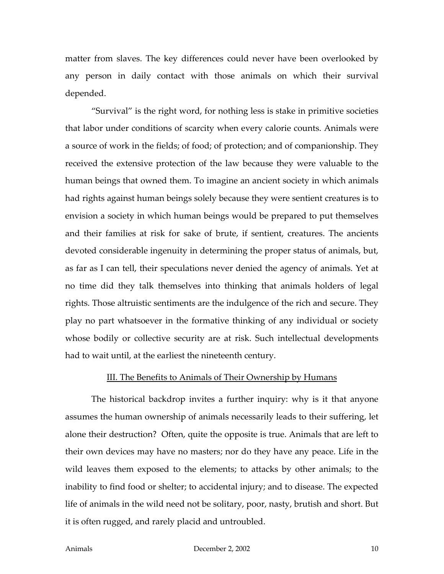matter from slaves. The key differences could never have been overlooked by any person in daily contact with those animals on which their survival depended.

"Survival" is the right word, for nothing less is stake in primitive societies that labor under conditions of scarcity when every calorie counts. Animals were a source of work in the fields; of food; of protection; and of companionship. They received the extensive protection of the law because they were valuable to the human beings that owned them. To imagine an ancient society in which animals had rights against human beings solely because they were sentient creatures is to envision a society in which human beings would be prepared to put themselves and their families at risk for sake of brute, if sentient, creatures. The ancients devoted considerable ingenuity in determining the proper status of animals, but, as far as I can tell, their speculations never denied the agency of animals. Yet at no time did they talk themselves into thinking that animals holders of legal rights. Those altruistic sentiments are the indulgence of the rich and secure. They play no part whatsoever in the formative thinking of any individual or society whose bodily or collective security are at risk. Such intellectual developments had to wait until, at the earliest the nineteenth century.

#### III. The Benefits to Animals of Their Ownership by Humans

The historical backdrop invites a further inquiry: why is it that anyone assumes the human ownership of animals necessarily leads to their suffering, let alone their destruction? Often, quite the opposite is true. Animals that are left to their own devices may have no masters; nor do they have any peace. Life in the wild leaves them exposed to the elements; to attacks by other animals; to the inability to find food or shelter; to accidental injury; and to disease. The expected life of animals in the wild need not be solitary, poor, nasty, brutish and short. But it is often rugged, and rarely placid and untroubled.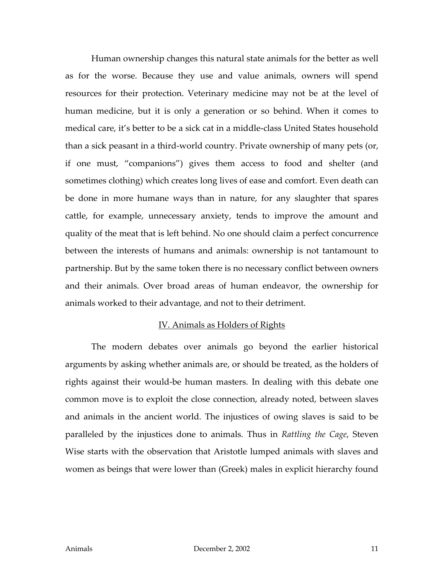Human ownership changes this natural state animals for the better as well as for the worse. Because they use and value animals, owners will spend resources for their protection. Veterinary medicine may not be at the level of human medicine, but it is only a generation or so behind. When it comes to medical care, it's better to be a sick cat in a middle-class United States household than a sick peasant in a third-world country. Private ownership of many pets (or, if one must, "companions") gives them access to food and shelter (and sometimes clothing) which creates long lives of ease and comfort. Even death can be done in more humane ways than in nature, for any slaughter that spares cattle, for example, unnecessary anxiety, tends to improve the amount and quality of the meat that is left behind. No one should claim a perfect concurrence between the interests of humans and animals: ownership is not tantamount to partnership. But by the same token there is no necessary conflict between owners and their animals. Over broad areas of human endeavor, the ownership for animals worked to their advantage, and not to their detriment.

#### IV. Animals as Holders of Rights

The modern debates over animals go beyond the earlier historical arguments by asking whether animals are, or should be treated, as the holders of rights against their would-be human masters. In dealing with this debate one common move is to exploit the close connection, already noted, between slaves and animals in the ancient world. The injustices of owing slaves is said to be paralleled by the injustices done to animals. Thus in *Rattling the Cage*, Steven Wise starts with the observation that Aristotle lumped animals with slaves and women as beings that were lower than (Greek) males in explicit hierarchy found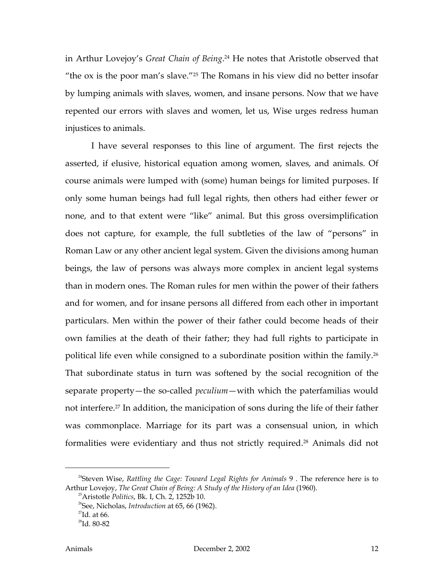in Arthur Lovejoy's *Great Chain of Being*. [24](#page-13-0) He notes that Aristotle observed that "the ox is the poor man's slave.["25](#page-13-1) The Romans in his view did no better insofar by lumping animals with slaves, women, and insane persons. Now that we have repented our errors with slaves and women, let us, Wise urges redress human injustices to animals.

I have several responses to this line of argument. The first rejects the asserted, if elusive, historical equation among women, slaves, and animals. Of course animals were lumped with (some) human beings for limited purposes. If only some human beings had full legal rights, then others had either fewer or none, and to that extent were "like" animal. But this gross oversimplification does not capture, for example, the full subtleties of the law of "persons" in Roman Law or any other ancient legal system. Given the divisions among human beings, the law of persons was always more complex in ancient legal systems than in modern ones. The Roman rules for men within the power of their fathers and for women, and for insane persons all differed from each other in important particulars. Men within the power of their father could become heads of their own families at the death of their father; they had full rights to participate in political life even while consigned to a subordinate position within the family.<sup>[26](#page-13-2)</sup> That subordinate status in turn was softened by the social recognition of the separate property—the so-called *peculium*—with which the paterfamilias would not interfere.<sup>27</sup> In addition, the manicipation of sons during the life of their father was commonplace. Marriage for its part was a consensual union, in which formalities were evidentiary and thus not strictly required.<sup>28</sup> Animals did not

<span id="page-13-0"></span><sup>&</sup>lt;sup>24</sup>Steven Wise, Rattling the Cage: Toward Legal Rights for Animals 9. The reference here is to Arthur Lovejoy, *The Great Chain of Being: A Study of the History of an Idea* (1960).<br><sup>25</sup>Aristotle *Politics*, Bk. I, Ch. 2, 1252b 10.<br><sup>26</sup>See, Nicholas, *Introduction* at 65, 66 (1962).<br><sup>27</sup>Id. at 66. <sup>28</sup>Id. 80-82

<span id="page-13-1"></span>

<span id="page-13-2"></span>

<span id="page-13-3"></span>

<span id="page-13-4"></span>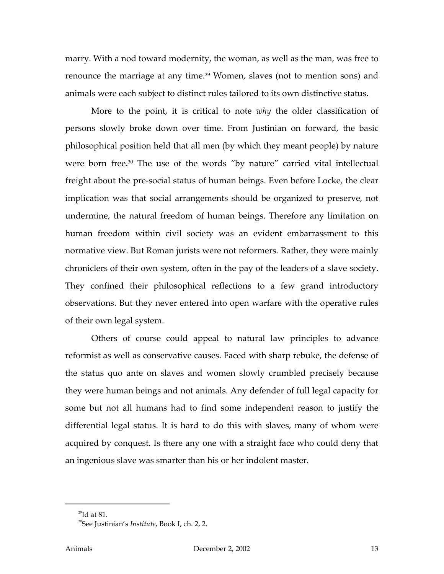marry. With a nod toward modernity, the woman, as well as the man, was free to renounce the marriage at any time.<sup>29</sup> Women, slaves (not to mention sons) and animals were each subject to distinct rules tailored to its own distinctive status.

More to the point, it is critical to note *why* the older classification of persons slowly broke down over time. From Justinian on forward, the basic philosophical position held that all men (by which they meant people) by nature were born free[.30](#page-14-1) The use of the words "by nature" carried vital intellectual freight about the pre-social status of human beings. Even before Locke, the clear implication was that social arrangements should be organized to preserve, not undermine, the natural freedom of human beings. Therefore any limitation on human freedom within civil society was an evident embarrassment to this normative view. But Roman jurists were not reformers. Rather, they were mainly chroniclers of their own system, often in the pay of the leaders of a slave society. They confined their philosophical reflections to a few grand introductory observations. But they never entered into open warfare with the operative rules of their own legal system.

Others of course could appeal to natural law principles to advance reformist as well as conservative causes. Faced with sharp rebuke, the defense of the status quo ante on slaves and women slowly crumbled precisely because they were human beings and not animals. Any defender of full legal capacity for some but not all humans had to find some independent reason to justify the differential legal status. It is hard to do this with slaves, many of whom were acquired by conquest. Is there any one with a straight face who could deny that an ingenious slave was smarter than his or her indolent master.

<span id="page-14-1"></span>

<span id="page-14-0"></span><sup>&</sup>lt;sup>29</sup>Id at 81.<br><sup>30</sup>See Justinian's *Institute*, Book I, ch. 2, 2.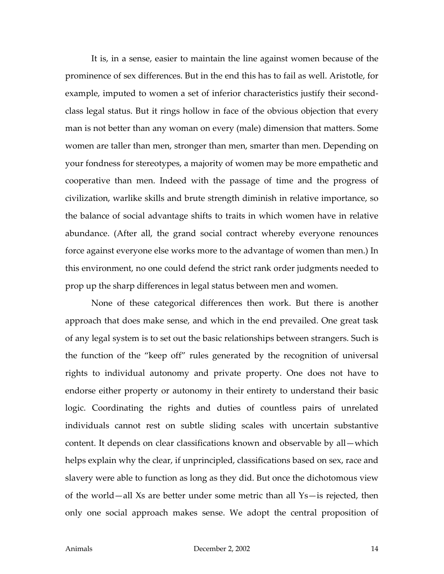It is, in a sense, easier to maintain the line against women because of the prominence of sex differences. But in the end this has to fail as well. Aristotle, for example, imputed to women a set of inferior characteristics justify their secondclass legal status. But it rings hollow in face of the obvious objection that every man is not better than any woman on every (male) dimension that matters. Some women are taller than men, stronger than men, smarter than men. Depending on your fondness for stereotypes, a majority of women may be more empathetic and cooperative than men. Indeed with the passage of time and the progress of civilization, warlike skills and brute strength diminish in relative importance, so the balance of social advantage shifts to traits in which women have in relative abundance. (After all, the grand social contract whereby everyone renounces force against everyone else works more to the advantage of women than men.) In this environment, no one could defend the strict rank order judgments needed to prop up the sharp differences in legal status between men and women.

None of these categorical differences then work. But there is another approach that does make sense, and which in the end prevailed. One great task of any legal system is to set out the basic relationships between strangers. Such is the function of the "keep off" rules generated by the recognition of universal rights to individual autonomy and private property. One does not have to endorse either property or autonomy in their entirety to understand their basic logic. Coordinating the rights and duties of countless pairs of unrelated individuals cannot rest on subtle sliding scales with uncertain substantive content. It depends on clear classifications known and observable by all—which helps explain why the clear, if unprincipled, classifications based on sex, race and slavery were able to function as long as they did. But once the dichotomous view of the world—all Xs are better under some metric than all Ys—is rejected, then only one social approach makes sense. We adopt the central proposition of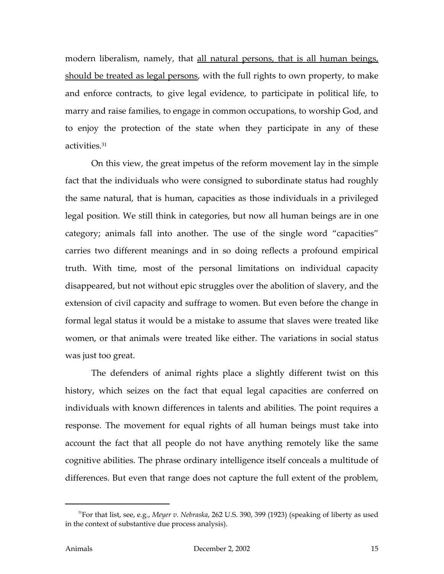modern liberalism, namely, that all natural persons, that is all human beings, should be treated as legal persons, with the full rights to own property, to make and enforce contracts, to give legal evidence, to participate in political life, to marry and raise families, to engage in common occupations, to worship God, and to enjoy the protection of the state when they participate in any of these activities[.31](#page-16-0) 

On this view, the great impetus of the reform movement lay in the simple fact that the individuals who were consigned to subordinate status had roughly the same natural, that is human, capacities as those individuals in a privileged legal position. We still think in categories, but now all human beings are in one category; animals fall into another. The use of the single word "capacities" carries two different meanings and in so doing reflects a profound empirical truth. With time, most of the personal limitations on individual capacity disappeared, but not without epic struggles over the abolition of slavery, and the extension of civil capacity and suffrage to women. But even before the change in formal legal status it would be a mistake to assume that slaves were treated like women, or that animals were treated like either. The variations in social status was just too great.

The defenders of animal rights place a slightly different twist on this history, which seizes on the fact that equal legal capacities are conferred on individuals with known differences in talents and abilities. The point requires a response. The movement for equal rights of all human beings must take into account the fact that all people do not have anything remotely like the same cognitive abilities. The phrase ordinary intelligence itself conceals a multitude of differences. But even that range does not capture the full extent of the problem,

<span id="page-16-0"></span> <sup>31</sup>For that list, see, e.g., *Meyer v. Nebraska*, 262 U.S. 390, 399 (1923) (speaking of liberty as used in the context of substantive due process analysis).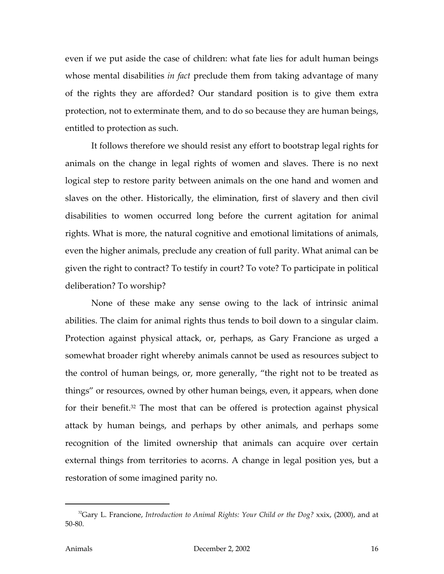even if we put aside the case of children: what fate lies for adult human beings whose mental disabilities *in fact* preclude them from taking advantage of many of the rights they are afforded? Our standard position is to give them extra protection, not to exterminate them, and to do so because they are human beings, entitled to protection as such.

It follows therefore we should resist any effort to bootstrap legal rights for animals on the change in legal rights of women and slaves. There is no next logical step to restore parity between animals on the one hand and women and slaves on the other. Historically, the elimination, first of slavery and then civil disabilities to women occurred long before the current agitation for animal rights. What is more, the natural cognitive and emotional limitations of animals, even the higher animals, preclude any creation of full parity. What animal can be given the right to contract? To testify in court? To vote? To participate in political deliberation? To worship?

None of these make any sense owing to the lack of intrinsic animal abilities. The claim for animal rights thus tends to boil down to a singular claim. Protection against physical attack, or, perhaps, as Gary Francione as urged a somewhat broader right whereby animals cannot be used as resources subject to the control of human beings, or, more generally, "the right not to be treated as things" or resources, owned by other human beings, even, it appears, when done for their benefit[.32](#page-17-0) The most that can be offered is protection against physical attack by human beings, and perhaps by other animals, and perhaps some recognition of the limited ownership that animals can acquire over certain external things from territories to acorns. A change in legal position yes, but a restoration of some imagined parity no.

<span id="page-17-0"></span><sup>&</sup>lt;sup>32</sup>Gary L. Francione, *Introduction to Animal Rights: Your Child or the Dog?* xxix, (2000), and at 50-80.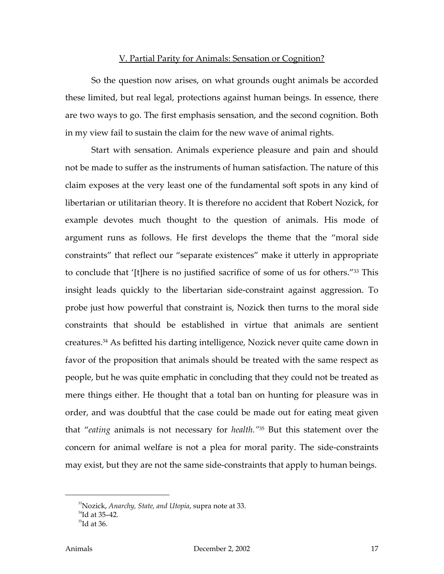#### V. Partial Parity for Animals: Sensation or Cognition?

So the question now arises, on what grounds ought animals be accorded these limited, but real legal, protections against human beings. In essence, there are two ways to go. The first emphasis sensation, and the second cognition. Both in my view fail to sustain the claim for the new wave of animal rights.

Start with sensation. Animals experience pleasure and pain and should not be made to suffer as the instruments of human satisfaction. The nature of this claim exposes at the very least one of the fundamental soft spots in any kind of libertarian or utilitarian theory. It is therefore no accident that Robert Nozick, for example devotes much thought to the question of animals. His mode of argument runs as follows. He first develops the theme that the "moral side constraints" that reflect our "separate existences" make it utterly in appropriate to conclude that '[t]here is no justified sacrifice of some of us for others."[33](#page-18-0) This insight leads quickly to the libertarian side-constraint against aggression. To probe just how powerful that constraint is, Nozick then turns to the moral side constraints that should be established in virtue that animals are sentient creatures.[34](#page-18-1) As befitted his darting intelligence, Nozick never quite came down in favor of the proposition that animals should be treated with the same respect as people, but he was quite emphatic in concluding that they could not be treated as mere things either. He thought that a total ban on hunting for pleasure was in order, and was doubtful that the case could be made out for eating meat given that "*eating* animals is not necessary for *health."*[35](#page-18-2) But this statement over the concern for animal welfare is not a plea for moral parity. The side-constraints may exist, but they are not the same side-constraints that apply to human beings.

<span id="page-18-0"></span><sup>&</sup>lt;sup>33</sup>Nozick*, Anarchy, State, and Utopia*, supra note at 33.<br><sup>34</sup>Id at 35–42.<br><sup>35</sup>Id at 36.

<span id="page-18-1"></span>

<span id="page-18-2"></span>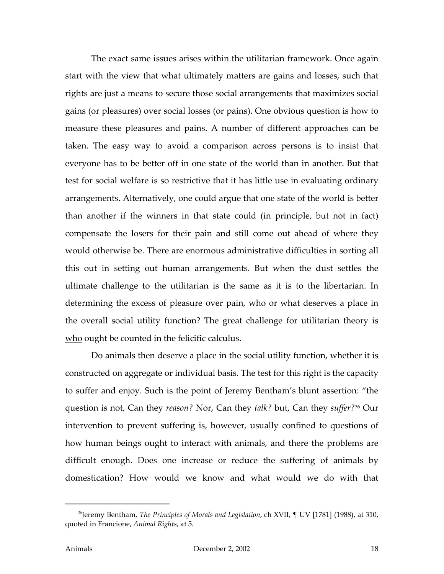The exact same issues arises within the utilitarian framework. Once again start with the view that what ultimately matters are gains and losses, such that rights are just a means to secure those social arrangements that maximizes social gains (or pleasures) over social losses (or pains). One obvious question is how to measure these pleasures and pains. A number of different approaches can be taken. The easy way to avoid a comparison across persons is to insist that everyone has to be better off in one state of the world than in another. But that test for social welfare is so restrictive that it has little use in evaluating ordinary arrangements. Alternatively, one could argue that one state of the world is better than another if the winners in that state could (in principle, but not in fact) compensate the losers for their pain and still come out ahead of where they would otherwise be. There are enormous administrative difficulties in sorting all this out in setting out human arrangements. But when the dust settles the ultimate challenge to the utilitarian is the same as it is to the libertarian. In determining the excess of pleasure over pain, who or what deserves a place in the overall social utility function? The great challenge for utilitarian theory is who ought be counted in the felicific calculus.

Do animals then deserve a place in the social utility function, whether it is constructed on aggregate or individual basis. The test for this right is the capacity to suffer and enjoy. Such is the point of Jeremy Bentham's blunt assertion: "the question is not, Can they *reason?* Nor, Can they *talk?* but, Can they *suffer?*[36](#page-19-0) Our intervention to prevent suffering is, however, usually confined to questions of how human beings ought to interact with animals, and there the problems are difficult enough. Does one increase or reduce the suffering of animals by domestication? How would we know and what would we do with that

<span id="page-19-0"></span> <sup>36</sup>Jeremy Bentham, *The Principles of Morals and Legislation*, ch XVII, ¶ UV [1781] (1988), at 310, quoted in Francione, *Animal Rights*, at 5.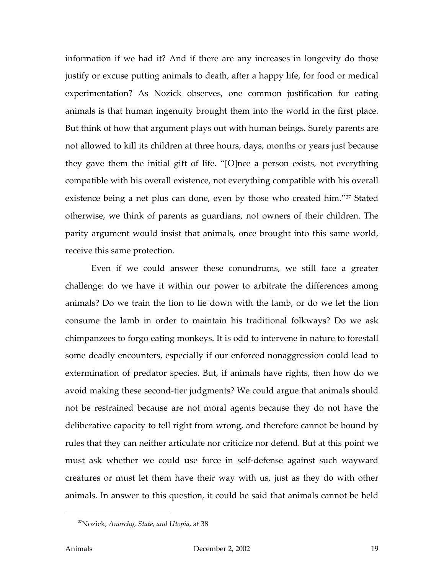information if we had it? And if there are any increases in longevity do those justify or excuse putting animals to death, after a happy life, for food or medical experimentation? As Nozick observes, one common justification for eating animals is that human ingenuity brought them into the world in the first place. But think of how that argument plays out with human beings. Surely parents are not allowed to kill its children at three hours, days, months or years just because they gave them the initial gift of life. "[O]nce a person exists, not everything compatible with his overall existence, not everything compatible with his overall existence being a net plus can done, even by those who created him."<sup>37</sup> Stated otherwise, we think of parents as guardians, not owners of their children. The parity argument would insist that animals, once brought into this same world, receive this same protection.

Even if we could answer these conundrums, we still face a greater challenge: do we have it within our power to arbitrate the differences among animals? Do we train the lion to lie down with the lamb, or do we let the lion consume the lamb in order to maintain his traditional folkways? Do we ask chimpanzees to forgo eating monkeys. It is odd to intervene in nature to forestall some deadly encounters, especially if our enforced nonaggression could lead to extermination of predator species. But, if animals have rights, then how do we avoid making these second-tier judgments? We could argue that animals should not be restrained because are not moral agents because they do not have the deliberative capacity to tell right from wrong, and therefore cannot be bound by rules that they can neither articulate nor criticize nor defend. But at this point we must ask whether we could use force in self-defense against such wayward creatures or must let them have their way with us, just as they do with other animals. In answer to this question, it could be said that animals cannot be held

<span id="page-20-0"></span> <sup>37</sup>Nozick, *Anarchy, State, and Utopia,* at 38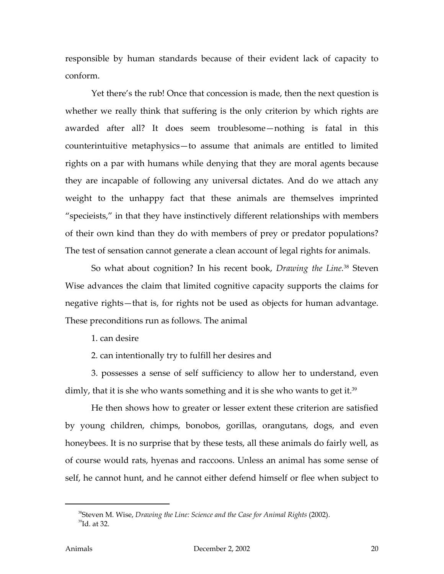responsible by human standards because of their evident lack of capacity to conform.

Yet there's the rub! Once that concession is made, then the next question is whether we really think that suffering is the only criterion by which rights are awarded after all? It does seem troublesome—nothing is fatal in this counterintuitive metaphysics—to assume that animals are entitled to limited rights on a par with humans while denying that they are moral agents because they are incapable of following any universal dictates. And do we attach any weight to the unhappy fact that these animals are themselves imprinted "specieists," in that they have instinctively different relationships with members of their own kind than they do with members of prey or predator populations? The test of sensation cannot generate a clean account of legal rights for animals.

So what about cognition? In his recent book, *Drawing the Line.*[38](#page-21-0) Steven Wise advances the claim that limited cognitive capacity supports the claims for negative rights—that is, for rights not be used as objects for human advantage. These preconditions run as follows. The animal

1. can desire

2. can intentionally try to fulfill her desires and

3. possesses a sense of self sufficiency to allow her to understand, even dimly, that it is she who wants something and it is she who wants to get it.<sup>39</sup>

He then shows how to greater or lesser extent these criterion are satisfied by young children, chimps, bonobos, gorillas, orangutans, dogs, and even honeybees. It is no surprise that by these tests, all these animals do fairly well, as of course would rats, hyenas and raccoons. Unless an animal has some sense of self, he cannot hunt, and he cannot either defend himself or flee when subject to

<span id="page-21-0"></span><sup>&</sup>lt;sup>38</sup>Steven M. Wise, *Drawing the Line: Science and the Case for Animal Rights (2002).*<br><sup>39</sup>Id. at 32.

<span id="page-21-1"></span>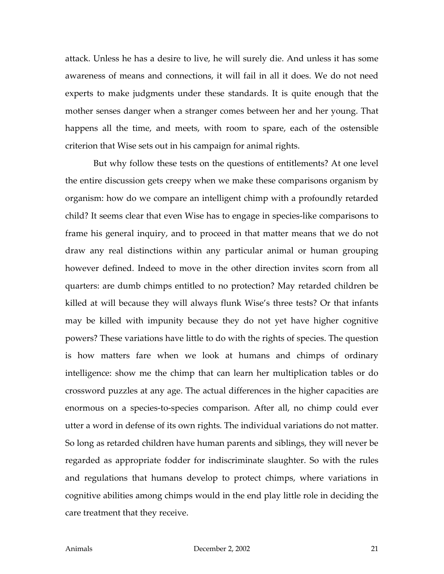attack. Unless he has a desire to live, he will surely die. And unless it has some awareness of means and connections, it will fail in all it does. We do not need experts to make judgments under these standards. It is quite enough that the mother senses danger when a stranger comes between her and her young. That happens all the time, and meets, with room to spare, each of the ostensible criterion that Wise sets out in his campaign for animal rights.

But why follow these tests on the questions of entitlements? At one level the entire discussion gets creepy when we make these comparisons organism by organism: how do we compare an intelligent chimp with a profoundly retarded child? It seems clear that even Wise has to engage in species-like comparisons to frame his general inquiry, and to proceed in that matter means that we do not draw any real distinctions within any particular animal or human grouping however defined. Indeed to move in the other direction invites scorn from all quarters: are dumb chimps entitled to no protection? May retarded children be killed at will because they will always flunk Wise's three tests? Or that infants may be killed with impunity because they do not yet have higher cognitive powers? These variations have little to do with the rights of species. The question is how matters fare when we look at humans and chimps of ordinary intelligence: show me the chimp that can learn her multiplication tables or do crossword puzzles at any age. The actual differences in the higher capacities are enormous on a species-to-species comparison. After all, no chimp could ever utter a word in defense of its own rights. The individual variations do not matter. So long as retarded children have human parents and siblings, they will never be regarded as appropriate fodder for indiscriminate slaughter. So with the rules and regulations that humans develop to protect chimps, where variations in cognitive abilities among chimps would in the end play little role in deciding the care treatment that they receive.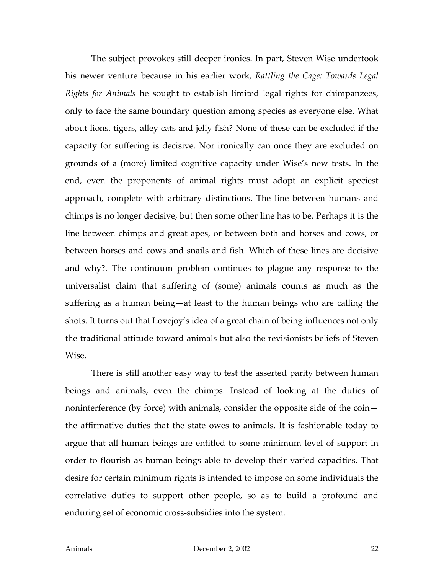The subject provokes still deeper ironies. In part, Steven Wise undertook his newer venture because in his earlier work, *Rattling the Cage: Towards Legal Rights for Animals* he sought to establish limited legal rights for chimpanzees, only to face the same boundary question among species as everyone else. What about lions, tigers, alley cats and jelly fish? None of these can be excluded if the capacity for suffering is decisive. Nor ironically can once they are excluded on grounds of a (more) limited cognitive capacity under Wise's new tests. In the end, even the proponents of animal rights must adopt an explicit speciest approach, complete with arbitrary distinctions. The line between humans and chimps is no longer decisive, but then some other line has to be. Perhaps it is the line between chimps and great apes, or between both and horses and cows, or between horses and cows and snails and fish. Which of these lines are decisive and why?. The continuum problem continues to plague any response to the universalist claim that suffering of (some) animals counts as much as the suffering as a human being—at least to the human beings who are calling the shots. It turns out that Lovejoy's idea of a great chain of being influences not only the traditional attitude toward animals but also the revisionists beliefs of Steven Wise.

There is still another easy way to test the asserted parity between human beings and animals, even the chimps. Instead of looking at the duties of noninterference (by force) with animals, consider the opposite side of the coin the affirmative duties that the state owes to animals. It is fashionable today to argue that all human beings are entitled to some minimum level of support in order to flourish as human beings able to develop their varied capacities. That desire for certain minimum rights is intended to impose on some individuals the correlative duties to support other people, so as to build a profound and enduring set of economic cross-subsidies into the system.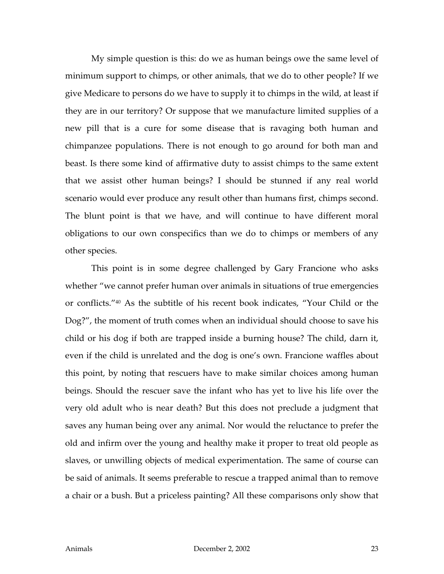My simple question is this: do we as human beings owe the same level of minimum support to chimps, or other animals, that we do to other people? If we give Medicare to persons do we have to supply it to chimps in the wild, at least if they are in our territory? Or suppose that we manufacture limited supplies of a new pill that is a cure for some disease that is ravaging both human and chimpanzee populations. There is not enough to go around for both man and beast. Is there some kind of affirmative duty to assist chimps to the same extent that we assist other human beings? I should be stunned if any real world scenario would ever produce any result other than humans first, chimps second. The blunt point is that we have, and will continue to have different moral obligations to our own conspecifics than we do to chimps or members of any other species.

<span id="page-24-0"></span>This point is in some degree challenged by Gary Francione who asks whether "we cannot prefer human over animals in situations of true emergencies or conflicts."[40](#page-24-0) As the subtitle of his recent book indicates, "Your Child or the Dog?", the moment of truth comes when an individual should choose to save his child or his dog if both are trapped inside a burning house? The child, darn it, even if the child is unrelated and the dog is one's own. Francione waffles about this point, by noting that rescuers have to make similar choices among human beings. Should the rescuer save the infant who has yet to live his life over the very old adult who is near death? But this does not preclude a judgment that saves any human being over any animal. Nor would the reluctance to prefer the old and infirm over the young and healthy make it proper to treat old people as slaves, or unwilling objects of medical experimentation. The same of course can be said of animals. It seems preferable to rescue a trapped animal than to remove a chair or a bush. But a priceless painting? All these comparisons only show that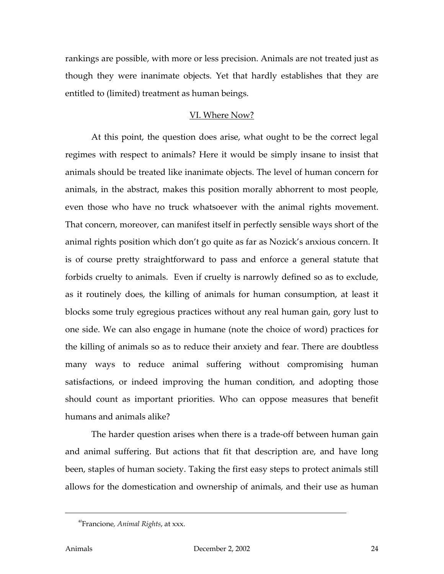rankings are possible, with more or less precision. Animals are not treated just as though they were inanimate objects. Yet that hardly establishes that they are entitled to (limited) treatment as human beings.

#### VI. Where Now?

At this point, the question does arise, what ought to be the correct legal regimes with respect to animals? Here it would be simply insane to insist that animals should be treated like inanimate objects. The level of human concern for animals, in the abstract, makes this position morally abhorrent to most people, even those who have no truck whatsoever with the animal rights movement. That concern, moreover, can manifest itself in perfectly sensible ways short of the animal rights position which don't go quite as far as Nozick's anxious concern. It is of course pretty straightforward to pass and enforce a general statute that forbids cruelty to animals. Even if cruelty is narrowly defined so as to exclude, as it routinely does, the killing of animals for human consumption, at least it blocks some truly egregious practices without any real human gain, gory lust to one side. We can also engage in humane (note the choice of word) practices for the killing of animals so as to reduce their anxiety and fear. There are doubtless many ways to reduce animal suffering without compromising human satisfactions, or indeed improving the human condition, and adopting those should count as important priorities. Who can oppose measures that benefit humans and animals alike?

The harder question arises when there is a trade-off between human gain and animal suffering. But actions that fit that description are, and have long been, staples of human society. Taking the first easy steps to protect animals still allows for the domestication and ownership of animals, and their use as human

 <sup>40</sup>Francione*, Animal Rights*, at xxx.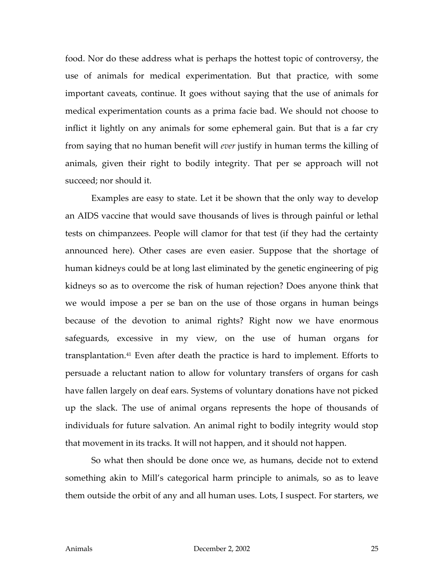food. Nor do these address what is perhaps the hottest topic of controversy, the use of animals for medical experimentation. But that practice, with some important caveats, continue. It goes without saying that the use of animals for medical experimentation counts as a prima facie bad. We should not choose to inflict it lightly on any animals for some ephemeral gain. But that is a far cry from saying that no human benefit will *ever* justify in human terms the killing of animals, given their right to bodily integrity. That per se approach will not succeed; nor should it.

Examples are easy to state. Let it be shown that the only way to develop an AIDS vaccine that would save thousands of lives is through painful or lethal tests on chimpanzees. People will clamor for that test (if they had the certainty announced here). Other cases are even easier. Suppose that the shortage of human kidneys could be at long last eliminated by the genetic engineering of pig kidneys so as to overcome the risk of human rejection? Does anyone think that we would impose a per se ban on the use of those organs in human beings because of the devotion to animal rights? Right now we have enormous safeguards, excessive in my view, on the use of human organs for transplantation[.41](#page-26-0) Even after death the practice is hard to implement. Efforts to persuade a reluctant nation to allow for voluntary transfers of organs for cash have fallen largely on deaf ears. Systems of voluntary donations have not picked up the slack. The use of animal organs represents the hope of thousands of individuals for future salvation. An animal right to bodily integrity would stop that movement in its tracks. It will not happen, and it should not happen.

<span id="page-26-0"></span>So what then should be done once we, as humans, decide not to extend something akin to Mill's categorical harm principle to animals, so as to leave them outside the orbit of any and all human uses. Lots, I suspect. For starters, we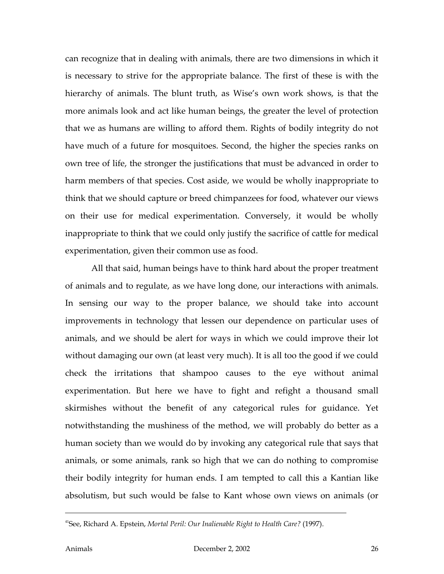can recognize that in dealing with animals, there are two dimensions in which it is necessary to strive for the appropriate balance. The first of these is with the hierarchy of animals. The blunt truth, as Wise's own work shows, is that the more animals look and act like human beings, the greater the level of protection that we as humans are willing to afford them. Rights of bodily integrity do not have much of a future for mosquitoes. Second, the higher the species ranks on own tree of life, the stronger the justifications that must be advanced in order to harm members of that species. Cost aside, we would be wholly inappropriate to think that we should capture or breed chimpanzees for food, whatever our views on their use for medical experimentation. Conversely, it would be wholly inappropriate to think that we could only justify the sacrifice of cattle for medical experimentation, given their common use as food.

All that said, human beings have to think hard about the proper treatment of animals and to regulate, as we have long done, our interactions with animals. In sensing our way to the proper balance, we should take into account improvements in technology that lessen our dependence on particular uses of animals, and we should be alert for ways in which we could improve their lot without damaging our own (at least very much). It is all too the good if we could check the irritations that shampoo causes to the eye without animal experimentation. But here we have to fight and refight a thousand small skirmishes without the benefit of any categorical rules for guidance. Yet notwithstanding the mushiness of the method, we will probably do better as a human society than we would do by invoking any categorical rule that says that animals, or some animals, rank so high that we can do nothing to compromise their bodily integrity for human ends. I am tempted to call this a Kantian like absolutism, but such would be false to Kant whose own views on animals (or

 <sup>41</sup>See, Richard A. Epstein, *Mortal Peril: Our Inalienable Right to Health Care?* (1997).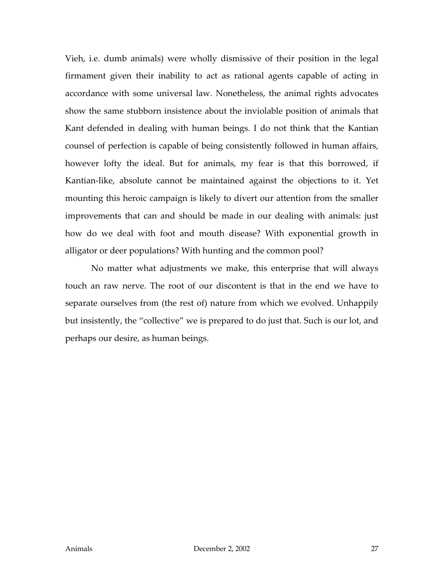Vieh, i.e. dumb animals) were wholly dismissive of their position in the legal firmament given their inability to act as rational agents capable of acting in accordance with some universal law. Nonetheless, the animal rights advocates show the same stubborn insistence about the inviolable position of animals that Kant defended in dealing with human beings. I do not think that the Kantian counsel of perfection is capable of being consistently followed in human affairs, however lofty the ideal. But for animals, my fear is that this borrowed, if Kantian-like, absolute cannot be maintained against the objections to it. Yet mounting this heroic campaign is likely to divert our attention from the smaller improvements that can and should be made in our dealing with animals: just how do we deal with foot and mouth disease? With exponential growth in alligator or deer populations? With hunting and the common pool?

No matter what adjustments we make, this enterprise that will always touch an raw nerve. The root of our discontent is that in the end we have to separate ourselves from (the rest of) nature from which we evolved. Unhappily but insistently, the "collective" we is prepared to do just that. Such is our lot, and perhaps our desire, as human beings.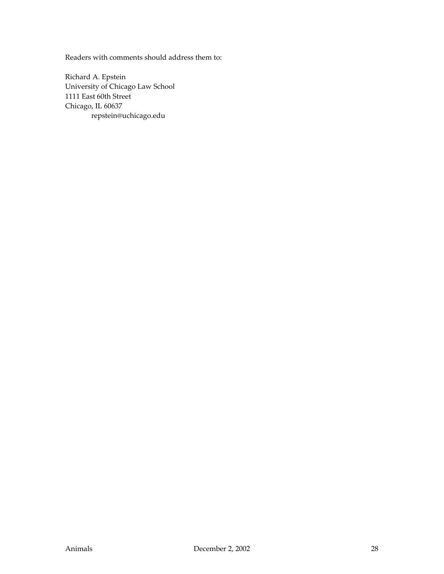Readers with comments should address them to:

Richard A. Epstein University of Chicago Law School 1111 East 60th Street Chicago, IL 60637 repstein@uchicago.edu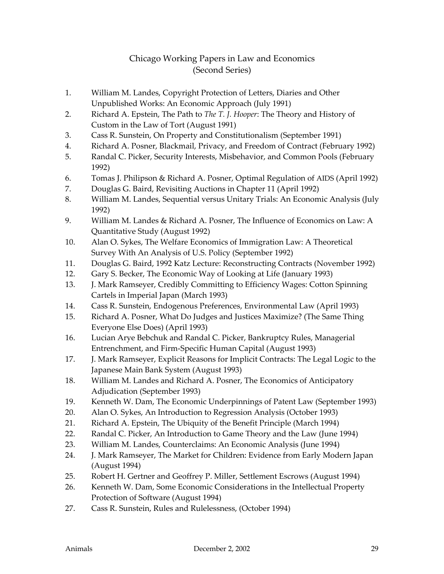### Chicago Working Papers in Law and Economics (Second Series)

- 1. William M. Landes, Copyright Protection of Letters, Diaries and Other Unpublished Works: An Economic Approach (July 1991)
- 2. Richard A. Epstein, The Path to *The T. J. Hooper*: The Theory and History of Custom in the Law of Tort (August 1991)
- 3. Cass R. Sunstein, On Property and Constitutionalism (September 1991)
- 4. Richard A. Posner, Blackmail, Privacy, and Freedom of Contract (February 1992)
- 5. Randal C. Picker, Security Interests, Misbehavior, and Common Pools (February 1992)
- 6. Tomas J. Philipson & Richard A. Posner, Optimal Regulation of AIDS (April 1992)
- 7. Douglas G. Baird, Revisiting Auctions in Chapter 11 (April 1992)
- 8. William M. Landes, Sequential versus Unitary Trials: An Economic Analysis (July 1992)
- 9. William M. Landes & Richard A. Posner, The Influence of Economics on Law: A Quantitative Study (August 1992)
- 10. Alan O. Sykes, The Welfare Economics of Immigration Law: A Theoretical Survey With An Analysis of U.S. Policy (September 1992)
- 11. Douglas G. Baird, 1992 Katz Lecture: Reconstructing Contracts (November 1992)
- 12. Gary S. Becker, The Economic Way of Looking at Life (January 1993)
- 13. J. Mark Ramseyer, Credibly Committing to Efficiency Wages: Cotton Spinning Cartels in Imperial Japan (March 1993)
- 14. Cass R. Sunstein, Endogenous Preferences, Environmental Law (April 1993)
- 15. Richard A. Posner, What Do Judges and Justices Maximize? (The Same Thing Everyone Else Does) (April 1993)
- 16. Lucian Arye Bebchuk and Randal C. Picker, Bankruptcy Rules, Managerial Entrenchment, and Firm-Specific Human Capital (August 1993)
- 17. J. Mark Ramseyer, Explicit Reasons for Implicit Contracts: The Legal Logic to the Japanese Main Bank System (August 1993)
- 18. William M. Landes and Richard A. Posner, The Economics of Anticipatory Adjudication (September 1993)
- 19. Kenneth W. Dam, The Economic Underpinnings of Patent Law (September 1993)
- 20. Alan O. Sykes, An Introduction to Regression Analysis (October 1993)
- 21. Richard A. Epstein, The Ubiquity of the Benefit Principle (March 1994)
- 22. Randal C. Picker, An Introduction to Game Theory and the Law (June 1994)
- 23. William M. Landes, Counterclaims: An Economic Analysis (June 1994)
- 24. J. Mark Ramseyer, The Market for Children: Evidence from Early Modern Japan (August 1994)
- 25. Robert H. Gertner and Geoffrey P. Miller, Settlement Escrows (August 1994)
- 26. Kenneth W. Dam, Some Economic Considerations in the Intellectual Property Protection of Software (August 1994)
- 27. Cass R. Sunstein, Rules and Rulelessness, (October 1994)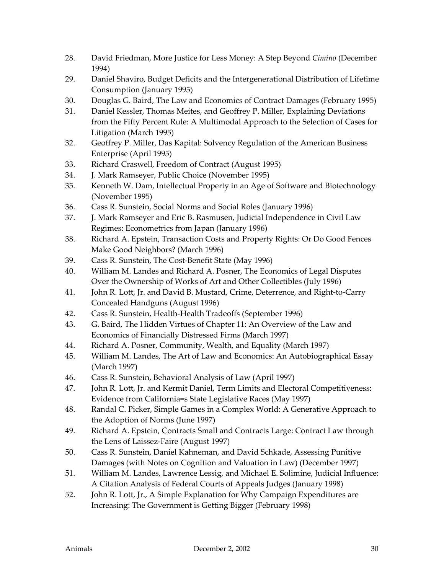- 28. David Friedman, More Justice for Less Money: A Step Beyond *Cimino* (December 1994)
- 29. Daniel Shaviro, Budget Deficits and the Intergenerational Distribution of Lifetime Consumption (January 1995)
- 30. Douglas G. Baird, The Law and Economics of Contract Damages (February 1995)
- 31. Daniel Kessler, Thomas Meites, and Geoffrey P. Miller, Explaining Deviations from the Fifty Percent Rule: A Multimodal Approach to the Selection of Cases for Litigation (March 1995)
- 32. Geoffrey P. Miller, Das Kapital: Solvency Regulation of the American Business Enterprise (April 1995)
- 33. Richard Craswell, Freedom of Contract (August 1995)
- 34. J. Mark Ramseyer, Public Choice (November 1995)
- 35. Kenneth W. Dam, Intellectual Property in an Age of Software and Biotechnology (November 1995)
- 36. Cass R. Sunstein, Social Norms and Social Roles (January 1996)
- 37. J. Mark Ramseyer and Eric B. Rasmusen, Judicial Independence in Civil Law Regimes: Econometrics from Japan (January 1996)
- 38. Richard A. Epstein, Transaction Costs and Property Rights: Or Do Good Fences Make Good Neighbors? (March 1996)
- 39. Cass R. Sunstein, The Cost-Benefit State (May 1996)
- 40. William M. Landes and Richard A. Posner, The Economics of Legal Disputes Over the Ownership of Works of Art and Other Collectibles (July 1996)
- 41. John R. Lott, Jr. and David B. Mustard, Crime, Deterrence, and Right-to-Carry Concealed Handguns (August 1996)
- 42. Cass R. Sunstein, Health-Health Tradeoffs (September 1996)
- 43. G. Baird, The Hidden Virtues of Chapter 11: An Overview of the Law and Economics of Financially Distressed Firms (March 1997)
- 44. Richard A. Posner, Community, Wealth, and Equality (March 1997)
- 45. William M. Landes, The Art of Law and Economics: An Autobiographical Essay (March 1997)
- 46. Cass R. Sunstein, Behavioral Analysis of Law (April 1997)
- 47. John R. Lott, Jr. and Kermit Daniel, Term Limits and Electoral Competitiveness: Evidence from California=s State Legislative Races (May 1997)
- 48. Randal C. Picker, Simple Games in a Complex World: A Generative Approach to the Adoption of Norms (June 1997)
- 49. Richard A. Epstein, Contracts Small and Contracts Large: Contract Law through the Lens of Laissez-Faire (August 1997)
- 50. Cass R. Sunstein, Daniel Kahneman, and David Schkade, Assessing Punitive Damages (with Notes on Cognition and Valuation in Law) (December 1997)
- 51. William M. Landes, Lawrence Lessig, and Michael E. Solimine, Judicial Influence: A Citation Analysis of Federal Courts of Appeals Judges (January 1998)
- 52. John R. Lott, Jr., A Simple Explanation for Why Campaign Expenditures are Increasing: The Government is Getting Bigger (February 1998)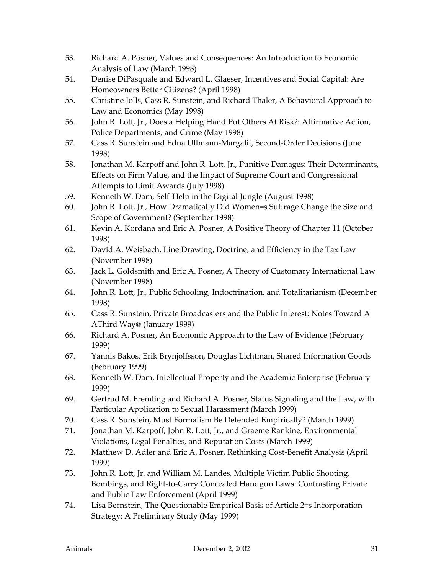- 53. Richard A. Posner, Values and Consequences: An Introduction to Economic Analysis of Law (March 1998)
- 54. Denise DiPasquale and Edward L. Glaeser, Incentives and Social Capital: Are Homeowners Better Citizens? (April 1998)
- 55. Christine Jolls, Cass R. Sunstein, and Richard Thaler, A Behavioral Approach to Law and Economics (May 1998)
- 56. John R. Lott, Jr., Does a Helping Hand Put Others At Risk?: Affirmative Action, Police Departments, and Crime (May 1998)
- 57. Cass R. Sunstein and Edna Ullmann-Margalit, Second-Order Decisions (June 1998)
- 58. Jonathan M. Karpoff and John R. Lott, Jr., Punitive Damages: Their Determinants, Effects on Firm Value, and the Impact of Supreme Court and Congressional Attempts to Limit Awards (July 1998)
- 59. Kenneth W. Dam, Self-Help in the Digital Jungle (August 1998)
- 60. John R. Lott, Jr., How Dramatically Did Women=s Suffrage Change the Size and Scope of Government? (September 1998)
- 61. Kevin A. Kordana and Eric A. Posner, A Positive Theory of Chapter 11 (October 1998)
- 62. David A. Weisbach, Line Drawing, Doctrine, and Efficiency in the Tax Law (November 1998)
- 63. Jack L. Goldsmith and Eric A. Posner, A Theory of Customary International Law (November 1998)
- 64. John R. Lott, Jr., Public Schooling, Indoctrination, and Totalitarianism (December 1998)
- 65. Cass R. Sunstein, Private Broadcasters and the Public Interest: Notes Toward A AThird Way@ (January 1999)
- 66. Richard A. Posner, An Economic Approach to the Law of Evidence (February 1999)
- 67. Yannis Bakos, Erik Brynjolfsson, Douglas Lichtman, Shared Information Goods (February 1999)
- 68. Kenneth W. Dam, Intellectual Property and the Academic Enterprise (February 1999)
- 69. Gertrud M. Fremling and Richard A. Posner, Status Signaling and the Law, with Particular Application to Sexual Harassment (March 1999)
- 70. Cass R. Sunstein, Must Formalism Be Defended Empirically? (March 1999)
- 71. Jonathan M. Karpoff, John R. Lott, Jr., and Graeme Rankine, Environmental Violations, Legal Penalties, and Reputation Costs (March 1999)
- 72. Matthew D. Adler and Eric A. Posner, Rethinking Cost-Benefit Analysis (April 1999)
- 73. John R. Lott, Jr. and William M. Landes, Multiple Victim Public Shooting, Bombings, and Right-to-Carry Concealed Handgun Laws: Contrasting Private and Public Law Enforcement (April 1999)
- 74. Lisa Bernstein, The Questionable Empirical Basis of Article 2=s Incorporation Strategy: A Preliminary Study (May 1999)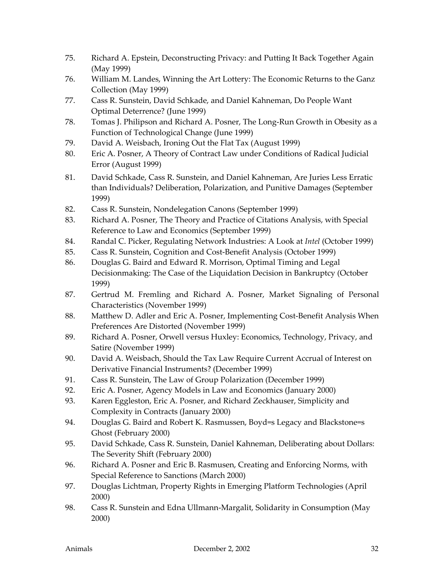- 75. Richard A. Epstein, Deconstructing Privacy: and Putting It Back Together Again (May 1999)
- 76. William M. Landes, Winning the Art Lottery: The Economic Returns to the Ganz Collection (May 1999)
- 77. Cass R. Sunstein, David Schkade, and Daniel Kahneman, Do People Want Optimal Deterrence? (June 1999)
- 78. Tomas J. Philipson and Richard A. Posner, The Long-Run Growth in Obesity as a Function of Technological Change (June 1999)
- 79. David A. Weisbach, Ironing Out the Flat Tax (August 1999)
- 80. Eric A. Posner, A Theory of Contract Law under Conditions of Radical Judicial Error (August 1999)
- 81. David Schkade, Cass R. Sunstein, and Daniel Kahneman, Are Juries Less Erratic than Individuals? Deliberation, Polarization, and Punitive Damages (September 1999)
- 82. Cass R. Sunstein, Nondelegation Canons (September 1999)
- 83. Richard A. Posner, The Theory and Practice of Citations Analysis, with Special Reference to Law and Economics (September 1999)
- 84. Randal C. Picker, Regulating Network Industries: A Look at *Intel* (October 1999)
- 85. Cass R. Sunstein, Cognition and Cost-Benefit Analysis (October 1999)
- 86. Douglas G. Baird and Edward R. Morrison, Optimal Timing and Legal Decisionmaking: The Case of the Liquidation Decision in Bankruptcy (October 1999)
- 87. Gertrud M. Fremling and Richard A. Posner, Market Signaling of Personal Characteristics (November 1999)
- 88. Matthew D. Adler and Eric A. Posner, Implementing Cost-Benefit Analysis When Preferences Are Distorted (November 1999)
- 89. Richard A. Posner, Orwell versus Huxley: Economics, Technology, Privacy, and Satire (November 1999)
- 90. David A. Weisbach, Should the Tax Law Require Current Accrual of Interest on Derivative Financial Instruments? (December 1999)
- 91. Cass R. Sunstein, The Law of Group Polarization (December 1999)
- 92. Eric A. Posner, Agency Models in Law and Economics (January 2000)
- 93. Karen Eggleston, Eric A. Posner, and Richard Zeckhauser, Simplicity and Complexity in Contracts (January 2000)
- 94. Douglas G. Baird and Robert K. Rasmussen, Boyd=s Legacy and Blackstone=s Ghost (February 2000)
- 95. David Schkade, Cass R. Sunstein, Daniel Kahneman, Deliberating about Dollars: The Severity Shift (February 2000)
- 96. Richard A. Posner and Eric B. Rasmusen, Creating and Enforcing Norms, with Special Reference to Sanctions (March 2000)
- 97. Douglas Lichtman, Property Rights in Emerging Platform Technologies (April 2000)
- 98. Cass R. Sunstein and Edna Ullmann-Margalit, Solidarity in Consumption (May 2000)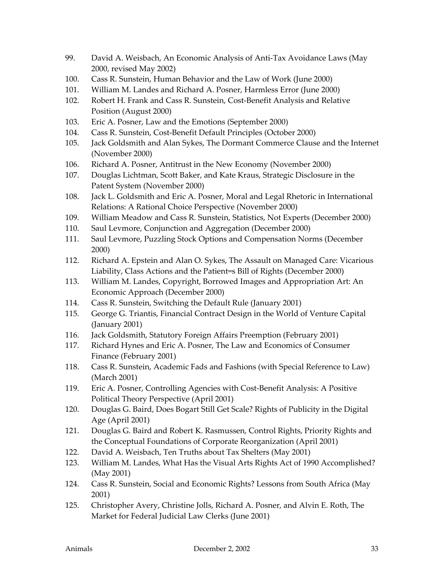- 99. David A. Weisbach, An Economic Analysis of Anti-Tax Avoidance Laws (May 2000, revised May 2002)
- 100. Cass R. Sunstein, Human Behavior and the Law of Work (June 2000)
- 101. William M. Landes and Richard A. Posner, Harmless Error (June 2000)
- 102. Robert H. Frank and Cass R. Sunstein, Cost-Benefit Analysis and Relative Position (August 2000)
- 103. Eric A. Posner, Law and the Emotions (September 2000)
- 104. Cass R. Sunstein, Cost-Benefit Default Principles (October 2000)
- 105. Jack Goldsmith and Alan Sykes, The Dormant Commerce Clause and the Internet (November 2000)
- 106. Richard A. Posner, Antitrust in the New Economy (November 2000)
- 107. Douglas Lichtman, Scott Baker, and Kate Kraus, Strategic Disclosure in the Patent System (November 2000)
- 108. Jack L. Goldsmith and Eric A. Posner, Moral and Legal Rhetoric in International Relations: A Rational Choice Perspective (November 2000)
- 109. William Meadow and Cass R. Sunstein, Statistics, Not Experts (December 2000)
- 110. Saul Levmore, Conjunction and Aggregation (December 2000)
- 111. Saul Levmore, Puzzling Stock Options and Compensation Norms (December 2000)
- 112. Richard A. Epstein and Alan O. Sykes, The Assault on Managed Care: Vicarious Liability, Class Actions and the Patient=s Bill of Rights (December 2000)
- 113. William M. Landes, Copyright, Borrowed Images and Appropriation Art: An Economic Approach (December 2000)
- 114. Cass R. Sunstein, Switching the Default Rule (January 2001)
- 115. George G. Triantis, Financial Contract Design in the World of Venture Capital (January 2001)
- 116. Jack Goldsmith, Statutory Foreign Affairs Preemption (February 2001)
- 117. Richard Hynes and Eric A. Posner, The Law and Economics of Consumer Finance (February 2001)
- 118. Cass R. Sunstein, Academic Fads and Fashions (with Special Reference to Law) (March 2001)
- 119. Eric A. Posner, Controlling Agencies with Cost-Benefit Analysis: A Positive Political Theory Perspective (April 2001)
- 120. Douglas G. Baird, Does Bogart Still Get Scale? Rights of Publicity in the Digital Age (April 2001)
- 121. Douglas G. Baird and Robert K. Rasmussen, Control Rights, Priority Rights and the Conceptual Foundations of Corporate Reorganization (April 2001)
- 122. David A. Weisbach, Ten Truths about Tax Shelters (May 2001)
- 123. William M. Landes, What Has the Visual Arts Rights Act of 1990 Accomplished? (May 2001)
- 124. Cass R. Sunstein, Social and Economic Rights? Lessons from South Africa (May 2001)
- 125. Christopher Avery, Christine Jolls, Richard A. Posner, and Alvin E. Roth, The Market for Federal Judicial Law Clerks (June 2001)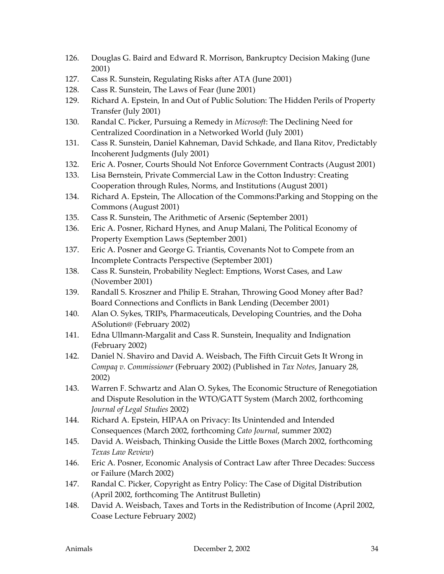- 126. Douglas G. Baird and Edward R. Morrison, Bankruptcy Decision Making (June 2001)
- 127. Cass R. Sunstein, Regulating Risks after ATA (June 2001)
- 128. Cass R. Sunstein, The Laws of Fear (June 2001)
- 129. Richard A. Epstein, In and Out of Public Solution: The Hidden Perils of Property Transfer (July 2001)
- 130. Randal C. Picker, Pursuing a Remedy in *Microsoft*: The Declining Need for Centralized Coordination in a Networked World (July 2001)
- 131. Cass R. Sunstein, Daniel Kahneman, David Schkade, and Ilana Ritov, Predictably Incoherent Judgments (July 2001)
- 132. Eric A. Posner, Courts Should Not Enforce Government Contracts (August 2001)
- 133. Lisa Bernstein, Private Commercial Law in the Cotton Industry: Creating Cooperation through Rules, Norms, and Institutions (August 2001)
- 134. Richard A. Epstein, The Allocation of the Commons:Parking and Stopping on the Commons (August 2001)
- 135. Cass R. Sunstein, The Arithmetic of Arsenic (September 2001)
- 136. Eric A. Posner, Richard Hynes, and Anup Malani, The Political Economy of Property Exemption Laws (September 2001)
- 137. Eric A. Posner and George G. Triantis, Covenants Not to Compete from an Incomplete Contracts Perspective (September 2001)
- 138. Cass R. Sunstein, Probability Neglect: Emptions, Worst Cases, and Law (November 2001)
- 139. Randall S. Kroszner and Philip E. Strahan, Throwing Good Money after Bad? Board Connections and Conflicts in Bank Lending (December 2001)
- 140. Alan O. Sykes, TRIPs, Pharmaceuticals, Developing Countries, and the Doha ASolution@ (February 2002)
- 141. Edna Ullmann-Margalit and Cass R. Sunstein, Inequality and Indignation (February 2002)
- 142. Daniel N. Shaviro and David A. Weisbach, The Fifth Circuit Gets It Wrong in *Compaq v. Commissioner* (February 2002) (Published in *Tax Notes*, January 28, 2002)
- 143. Warren F. Schwartz and Alan O. Sykes, The Economic Structure of Renegotiation and Dispute Resolution in the WTO/GATT System (March 2002, forthcoming *Journal of Legal Studies* 2002)
- 144. Richard A. Epstein, HIPAA on Privacy: Its Unintended and Intended Consequences (March 2002, forthcoming *Cato Journal*, summer 2002)
- 145. David A. Weisbach, Thinking Ouside the Little Boxes (March 2002, forthcoming *Texas Law Review*)
- 146. Eric A. Posner, Economic Analysis of Contract Law after Three Decades: Success or Failure (March 2002)
- 147. Randal C. Picker, Copyright as Entry Policy: The Case of Digital Distribution (April 2002, forthcoming The Antitrust Bulletin)
- 148. David A. Weisbach, Taxes and Torts in the Redistribution of Income (April 2002, Coase Lecture February 2002)